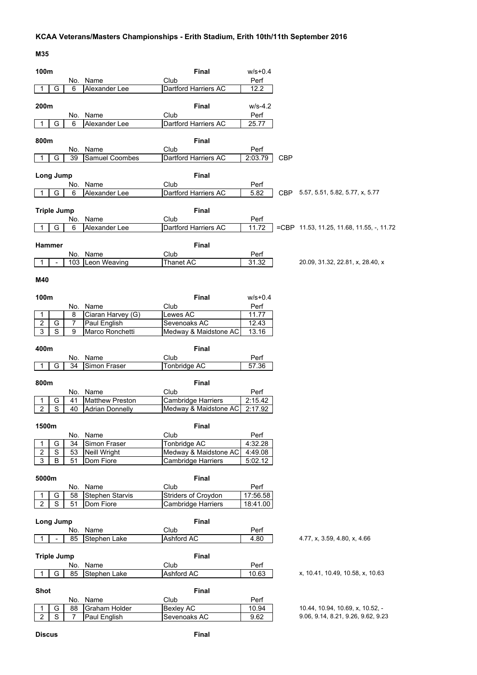## **KCAA Veterans/Masters Championships - Erith Stadium, Erith 10th/11th September 2016**

| 100m                             |                              |                |                               | Final                                              | $w/s + 0.4$        |            |                                                                        |
|----------------------------------|------------------------------|----------------|-------------------------------|----------------------------------------------------|--------------------|------------|------------------------------------------------------------------------|
|                                  |                              |                | No. Name                      | Club                                               | Perf               |            |                                                                        |
| 1                                | G                            | 6              | Alexander Lee                 | Dartford Harriers AC                               | 12.2               |            |                                                                        |
|                                  |                              |                |                               |                                                    |                    |            |                                                                        |
| 200m                             |                              |                |                               | <b>Final</b>                                       | $W/S-4.2$          |            |                                                                        |
|                                  |                              |                | No. Name                      | Club                                               | Perf               |            |                                                                        |
| 1                                | G                            | 6              | Alexander Lee                 | Dartford Harriers AC                               | 25.77              |            |                                                                        |
|                                  |                              |                |                               |                                                    |                    |            |                                                                        |
| 800m                             |                              |                |                               | Final                                              |                    |            |                                                                        |
|                                  |                              | No.            | Name                          | Club                                               | Perf               |            |                                                                        |
|                                  | G                            | 39             | Samuel Coombes                | Dartford Harriers AC                               | 2:03.79            | <b>CBP</b> |                                                                        |
|                                  |                              |                |                               |                                                    |                    |            |                                                                        |
| Long Jump                        |                              |                |                               | Final                                              |                    |            |                                                                        |
|                                  |                              | No.            | Name                          | Club                                               | Perf               |            |                                                                        |
| 1                                | G                            | 6              | Alexander Lee                 | Dartford Harriers AC                               | 5.82               |            | CBP 5.57, 5.51, 5.82, 5.77, x, 5.77                                    |
|                                  |                              |                |                               |                                                    |                    |            |                                                                        |
| <b>Triple Jump</b>               |                              |                |                               | Final                                              |                    |            |                                                                        |
|                                  |                              | No.            | Name                          | Club<br>Dartford Harriers AC                       | Perf<br>11.72      |            | $=$ CBP 11.53, 11.25, 11.68, 11.55, -, 11.72                           |
| 1                                | G                            | 6              | Alexander Lee                 |                                                    |                    |            |                                                                        |
| Hammer                           |                              |                |                               | <b>Final</b>                                       |                    |            |                                                                        |
|                                  |                              |                | No. Name                      | Club                                               | Perf               |            |                                                                        |
| 1                                | $\blacksquare$               |                | 103 Leon Weaving              | Thanet AC                                          | 31.32              |            | 20.09, 31.32, 22.81, x, 28.40, x                                       |
|                                  |                              |                |                               |                                                    |                    |            |                                                                        |
| M40                              |                              |                |                               |                                                    |                    |            |                                                                        |
|                                  |                              |                |                               |                                                    |                    |            |                                                                        |
| 100m                             |                              |                |                               | <b>Final</b>                                       | $W/S + 0.4$        |            |                                                                        |
|                                  |                              |                | No. Name                      | Club                                               | Perf               |            |                                                                        |
| 1                                |                              | 8              | Ciaran Harvey (G)             | Lewes AC                                           | 11.77              |            |                                                                        |
| $\overline{2}$                   | G                            | $\overline{7}$ | Paul English                  | Sevenoaks AC                                       | 12.43              |            |                                                                        |
| 3                                | $\overline{s}$               | 9              | Marco Ronchetti               | Medway & Maidstone AC                              | 13.16              |            |                                                                        |
|                                  |                              |                |                               |                                                    |                    |            |                                                                        |
|                                  |                              |                |                               |                                                    |                    |            |                                                                        |
| 400m                             |                              |                |                               | <b>Final</b>                                       |                    |            |                                                                        |
|                                  |                              | No.            | Name                          | Club                                               | Perf               |            |                                                                        |
| 1                                | G                            | 34             | Simon Fraser                  | Tonbridge AC                                       | 57.36              |            |                                                                        |
|                                  |                              |                |                               |                                                    |                    |            |                                                                        |
| 800m                             |                              |                |                               | Final                                              |                    |            |                                                                        |
|                                  |                              |                | No. Name                      | Club                                               | Perf               |            |                                                                        |
| 1                                | G                            | 41             | <b>Matthew Preston</b>        | <b>Cambridge Harriers</b>                          | 2:15.42            |            |                                                                        |
| $\overline{2}$                   | $\overline{s}$               | 40             | <b>Adrian Donnelly</b>        | Medway & Maidstone AC                              | 2:17.92            |            |                                                                        |
|                                  |                              |                |                               |                                                    |                    |            |                                                                        |
| 1500m                            |                              |                |                               | Final                                              |                    |            |                                                                        |
| 1                                |                              |                | No. Name                      | Club                                               | Perf               |            |                                                                        |
|                                  | G                            | 34             | Simon Fraser                  | <b>Tonbridge AC</b>                                | 4:32.28            |            |                                                                        |
| $\overline{2}$<br>$\overline{3}$ | $\overline{\mathsf{s}}$<br>B | 53<br>51       | Neill Wright<br>Dom Fiore     | Medway & Maidstone AC<br><b>Cambridge Harriers</b> | 4:49.08<br>5:02.12 |            |                                                                        |
|                                  |                              |                |                               |                                                    |                    |            |                                                                        |
| 5000m                            |                              |                |                               | Final                                              |                    |            |                                                                        |
|                                  |                              |                | No. Name                      | Club                                               | Perf               |            |                                                                        |
| 1                                | G                            | 58             | Stephen Starvis               | Striders of Croydon                                | 17:56.58           |            |                                                                        |
| $\overline{2}$                   | $\overline{s}$               | 51             | Dom Fiore                     | <b>Cambridge Harriers</b>                          | 18:41.00           |            |                                                                        |
|                                  |                              |                |                               |                                                    |                    |            |                                                                        |
| <b>Long Jump</b>                 |                              |                |                               | Final                                              |                    |            |                                                                        |
|                                  |                              | No.            | Name                          | Club                                               | Perf               |            |                                                                        |
| 1                                |                              | 85             | Stephen Lake                  | Ashford AC                                         | 4.80               |            | 4.77, x, 3.59, 4.80, x, 4.66                                           |
|                                  |                              |                |                               |                                                    |                    |            |                                                                        |
| <b>Triple Jump</b>               |                              |                |                               | Final                                              |                    |            |                                                                        |
|                                  |                              |                | No. Name                      | Club                                               | Perf               |            |                                                                        |
| 1                                | G                            | 85             | Stephen Lake                  | Ashford AC                                         | 10.63              |            | x, 10.41, 10.49, 10.58, x, 10.63                                       |
|                                  |                              |                |                               |                                                    |                    |            |                                                                        |
| <b>Shot</b>                      |                              |                |                               | Final                                              |                    |            |                                                                        |
|                                  |                              |                | No. Name                      | Club                                               | Perf               |            |                                                                        |
| 1<br>$\overline{2}$              | G<br>$\overline{s}$          | 88<br>7        | Graham Holder<br>Paul English | <b>Bexley AC</b><br>Sevenoaks AC                   | 10.94<br>9.62      |            | 10.44, 10.94, 10.69, x, 10.52, -<br>9.06, 9.14, 8.21, 9.26, 9.62, 9.23 |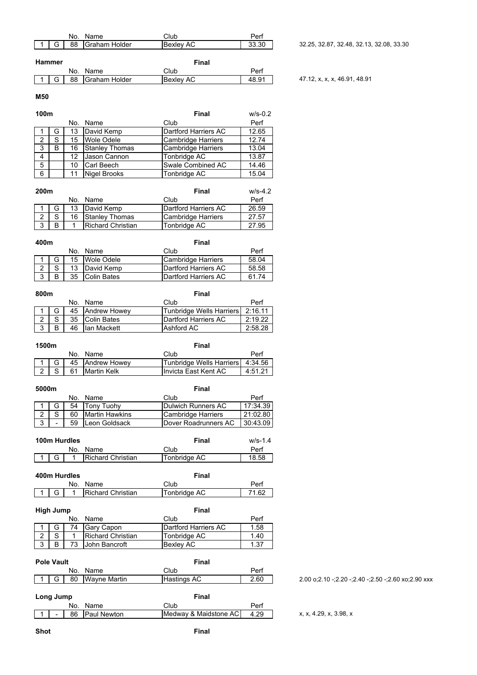|        | No. Name         | Club             | Perf  |
|--------|------------------|------------------|-------|
|        | 88 Graham Holder | <b>Bexley AC</b> | 33.30 |
| Hammer |                  | Final            |       |
|        | No. Name         | Club             | Perf  |

1 G 88 Graham Holder Bexley AC 48.91 47.12, x, x, x, 46.91, 48.91

### **M50**

| 100m |   |     |                       | Final                     | $w/s-0.2$ |
|------|---|-----|-----------------------|---------------------------|-----------|
|      |   | No. | Name                  | Club                      | Perf      |
|      | G | 13  | David Kemp            | Dartford Harriers AC      | 12.65     |
| 2    | S | 15  | Wole Odele            | <b>Cambridge Harriers</b> | 12.74     |
| 3    | В | 16  | <b>Stanley Thomas</b> | <b>Cambridge Harriers</b> | 13.04     |
| 4    |   | 12  | Uason Cannon          | Tonbridge AC              | 13.87     |
| 5    |   | 10  | <b>Carl Beech</b>     | Swale Combined AC         | 14.46     |
| 6    |   | 11  | <b>Nigel Brooks</b>   | Tonbridge AC              | 15.04     |

| 200 <sub>m</sub> |   |    |                          | Final                | $w/s - 4.2$ |
|------------------|---|----|--------------------------|----------------------|-------------|
|                  |   |    | No. Name                 | Club                 | Perf        |
|                  |   | 13 | David Kemp               | Dartford Harriers AC | 26.59       |
| ົ                | S | 16 | <b>Stanley Thomas</b>    | Cambridge Harriers   | 27.57       |
| 3                | B |    | <b>Richard Christian</b> | Tonbridge AC         | 27.95       |

| 400m |    |             | Final                |       |  |
|------|----|-------------|----------------------|-------|--|
|      |    | No. Name    | Club                 | Perf  |  |
|      | 15 | Wole Odele  | Cambridge Harriers   | 58.04 |  |
| ົ    | 13 | David Kemp  | Dartford Harriers AC | 58.58 |  |
| 3    | 35 | Colin Bates | Dartford Harriers AC | 61.74 |  |

| 800m |   |    |                 | Final                              |         |  |
|------|---|----|-----------------|------------------------------------|---------|--|
|      |   |    | No. Name        | Club                               | Perf    |  |
|      |   |    | 45 Andrew Howey | Tunbridge Wells Harriers   2:16.11 |         |  |
| ົ    | ົ | 35 | Colin Bates     | Dartford Harriers AC               | 2:19.22 |  |
| 3    |   | 46 | lan Mackett     | Ashford AC                         | 2.58.28 |  |

| 1500m |    |                 | Final                            |         |  |
|-------|----|-----------------|----------------------------------|---------|--|
|       |    | No. Name        | Club                             | Perf    |  |
|       |    | 45 Andrew Howey | Tunbridge Wells Harriers 4:34.56 |         |  |
|       | 61 | Martin Kelk     | Invicta East Kent AC             | 4:51.21 |  |

|   | 5000m |     |                | Final                        |          |  |
|---|-------|-----|----------------|------------------------------|----------|--|
|   |       | No. | Name           | Club                         | Perf     |  |
|   |       | 54  | Tony Tuohy     | <b>IDulwich Runners AC</b>   | 17:34.39 |  |
|   |       | 60  | Martin Hawkins | Cambridge Harriers           | 21:02.80 |  |
| 3 | -     | 59  | Leon Goldsack  | <b>IDover Roadrunners AC</b> | 30:43.09 |  |
|   |       |     |                |                              |          |  |

| 100m Hurdles |  |  |                          | Final        | $W/S-1.4$ |
|--------------|--|--|--------------------------|--------------|-----------|
|              |  |  | No. Name                 | Club         | Perf      |
|              |  |  | <b>Richard Christian</b> | Tonbridge AC | 18.58     |

| 400m Hurdles |  |  |  |                   | Final        |       |  |
|--------------|--|--|--|-------------------|--------------|-------|--|
|              |  |  |  | No. Name          | Club         | Perf  |  |
|              |  |  |  | Richard Christian | Tonbridge AC | 71.62 |  |
|              |  |  |  |                   |              |       |  |

| High Jump |  |     |                          | Final                |      |  |
|-----------|--|-----|--------------------------|----------------------|------|--|
|           |  | No. | Name                     | Club                 | Perf |  |
|           |  | 74  | <b>Gary Capon</b>        | Dartford Harriers AC | 1.58 |  |
|           |  |     | <b>Richard Christian</b> | Tonbridge AC         | 1.40 |  |
| 3         |  | 73  | John Bancroft            | Bexlev AC            | 1.37 |  |

|           | <b>Pole Vault</b> |     |                     | Final                |      |
|-----------|-------------------|-----|---------------------|----------------------|------|
|           |                   | No. | Name                | Club                 | Perf |
|           | G                 | 80  | <b>Wayne Martin</b> | Hastings AC          | 2.60 |
| Long Jump |                   | No. | Name                | <b>Final</b><br>Club | Perf |

2.00 o;2.10 -;2.20 -;2.40 -;2.50 -;2.60 xo;2.90 xxx

1 - 86 Paul Newton Medway & Maidstone AC 4.29 x, x, 4.29, x, 3.98, x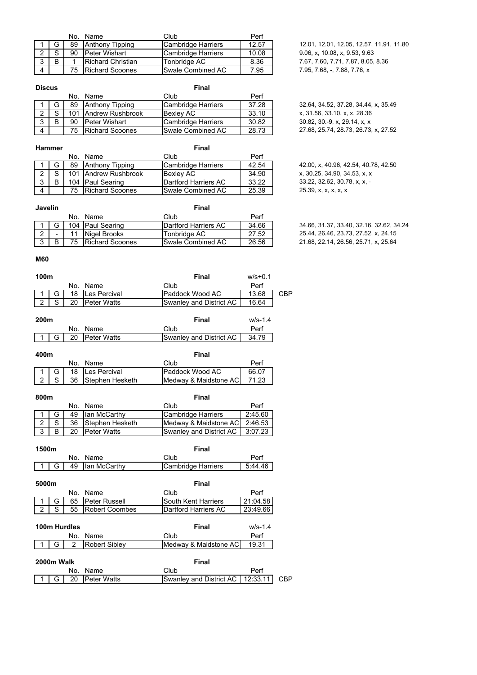|   |        |    | No. Name               | Club                      | Perf  |
|---|--------|----|------------------------|---------------------------|-------|
|   |        | 89 | Anthony Tipping        | <b>Cambridge Harriers</b> | 12.57 |
| ົ | $\sim$ | 90 | lPeter Wishart         | Cambridge Harriers        | 10.08 |
| 3 |        |    | Richard Christian      | Tonbridge AC              | 8.36  |
| 4 |        | 75 | <b>Richard Scoones</b> | Swale Combined AC         | 7.95  |

12.01, 12.01, 12.05, 12.57, 11.91, 11.80 9.06, x, 10.08, x, 9.53, 9.63 3 B 1 Richard Christian Tonbridge AC 8.36 7.67, 7.60, 7.71, 7.87, 8.05, 8.36 7.95, 7.68, -, 7.88, 7.76, x

| <b>Discus</b> |        |     |                        | Final                     |       |                                      |
|---------------|--------|-----|------------------------|---------------------------|-------|--------------------------------------|
|               |        | No. | Name                   | Club                      | Perf  |                                      |
|               | G      | 89  | Anthony Tipping        | Cambridge Harriers        | 37.28 | 32.64, 34.52, 37.28, 34.44, x, 35.49 |
|               | $\sim$ | 101 | Andrew Rushbrook       | Bexlev AC                 | 33.10 | x, 31.56, 33.10, x, x, 28.36         |
|               | В      | 90  | <b>Peter Wishart</b>   | Cambridge Harriers        | 30.82 | 30.82, 30.-9, x, 29.14, x, x         |
| 4             |        | 75  | <b>Richard Scoones</b> | <b>ISwale Combined AC</b> | 28.73 | 27.68, 25.74, 28.73, 26.73, x, 27.52 |

|   | Hammer |     |                        | Final                        |       |
|---|--------|-----|------------------------|------------------------------|-------|
|   |        | No. | Name                   | Club                         | Perf  |
|   |        | 89  | <b>Anthony Tipping</b> | <b>Cambridge Harriers</b>    | 42.54 |
| ົ | S      |     | 101 Andrew Rushbrook   | Bexley AC                    | 34.90 |
| 3 | B      |     | 104 Paul Searing       | <b>IDartford Harriers AC</b> | 33.22 |
| 4 |        | 75  | <b>Richard Scoones</b> | Swale Combined AC            | 25.39 |

**Javelin Final**

|  | 27.68, 25.74, 28.73, 26.73, x, 27.52 |  |
|--|--------------------------------------|--|
|  |                                      |  |
|  |                                      |  |
|  |                                      |  |

4 2.00, x, 40.96, 42.54, 40.78, 42.50  $x, 30.25, 34.90, 34.53, x, x$ 33.22, 32.62, 30.78, x, x, -25.39, x, x, x, x, x

1 G 104 Paul Searing Dartford Harriers AC 34.66 34.66, 31.37, 33.40, 32.16, 32.62, 34.24<br>2 - 11 Nigel Brooks Tonbridge AC 27.52 25.44, 26.46, 23.73, 27.52, x, 24.15 2 - 11 Nigel Brooks Tonbridge AC 27.52 25.44, 26.46, 23.73, 27.52, x, 24.15<br>3 B 75 Richard Scoones Swale Combined AC 26.56 21.68, 22.14, 26.56, 25.71, x, 25.64 3 B 75 Richard Scoones Swale Combined AC 26.56 21.68, 22.14, 26.56, 25.71, x, 25.64

# **M60**

| 100m |     |                    | Final                   | $w/s + 0.1$ |     |
|------|-----|--------------------|-------------------------|-------------|-----|
|      | No. | Name               | Club                    | Perf        |     |
|      | 18  | Les Percival       | Paddock Wood AC         | 13.68       | CBP |
|      |     | <b>Peter Watts</b> | Swanley and District AC | 16.64       |     |
|      |     |                    |                         |             |     |

No. Name Club Perf<br>104 | Paul Searing | Dartford Harriers AC | 34.66

| 200 <sub>m</sub> |     |                | Final                   | $W/S-1.4$ |  |
|------------------|-----|----------------|-------------------------|-----------|--|
|                  |     | No. Name       | Club                    | Perf      |  |
|                  | G I | 20 Peter Watts | Swanley and District AC | 34.79     |  |
|                  |     |                |                         |           |  |

| 400m |    |                 | Final                 |       |
|------|----|-----------------|-----------------------|-------|
|      |    | No. Name        | Club                  | Perf  |
|      |    | 18 Les Percival | Paddock Wood AC       | 66.07 |
|      | 36 | Stephen Hesketh | Medway & Maidstone AC | 71.23 |

| 800m         |    |                    | Final                         |         |
|--------------|----|--------------------|-------------------------------|---------|
|              |    | No. Name           | Club                          | Perf    |
|              | 49 | lan McCarthy       | <b>Cambridge Harriers</b>     | 2.45.60 |
| ົ            | 36 | Stephen Hesketh    | Medway & Maidstone AC 2:46.53 |         |
| $\mathbf{r}$ | 20 | <b>Peter Watts</b> | Swanley and District AC       | 3:07.23 |

| 1500m |            |              |                       | Final                     |           |
|-------|------------|--------------|-----------------------|---------------------------|-----------|
|       |            | No.          | Name                  | Club                      | Perf      |
|       | G          | 49           | lan McCarthy          | <b>Cambridge Harriers</b> | 5:44.46   |
|       |            |              |                       |                           |           |
| 5000m |            |              |                       | <b>Final</b>              |           |
|       |            | No.          | Name                  | Club                      | Perf      |
|       | G          | 65           | Peter Russell         | South Kent Harriers       | 21:04.58  |
| 2     | S          | 55           | <b>Robert Coombes</b> | Dartford Harriers AC      | 23.49.66  |
|       |            |              |                       |                           |           |
|       |            | 100m Hurdles |                       | Final                     | $W/S-1.4$ |
|       |            | No.          | Name                  | Club                      | Perf      |
|       | G          | 2            | <b>Robert Sibley</b>  | Medway & Maidstone AC     | 19.31     |
|       |            |              |                       |                           |           |
|       | 2000m Walk |              |                       | Final                     |           |
|       |            |              |                       |                           |           |

|  | No.  | <b>Name</b>        | :lub                                     |  |
|--|------|--------------------|------------------------------------------|--|
|  | G 20 | <b>Peter Watts</b> | Swanley and District AC   12:33.11   CBP |  |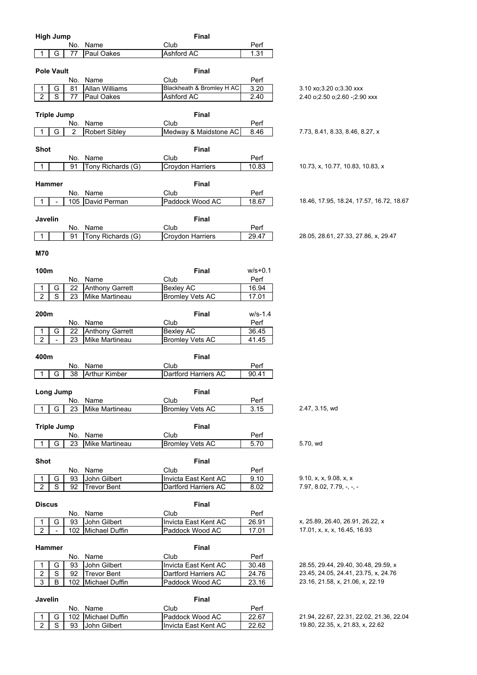|                         | <b>High Jump</b>    |           |                                    | <b>Final</b>                            |                |                                                    |
|-------------------------|---------------------|-----------|------------------------------------|-----------------------------------------|----------------|----------------------------------------------------|
|                         |                     | No.       | Name                               | Club                                    | Perf           |                                                    |
|                         | G                   | 77        | Paul Oakes                         | Ashford AC                              | 1.31           |                                                    |
|                         |                     |           |                                    |                                         |                |                                                    |
|                         | <b>Pole Vault</b>   |           |                                    | <b>Final</b>                            |                |                                                    |
|                         |                     | No.       | Name                               | Club                                    | Perf           |                                                    |
|                         | G                   | 81        | Allan Williams                     | Blackheath & Bromley H AC               | 3.20           | 3.10 xo; 3.20 o; 3.30 xxx                          |
| $\overline{2}$          | $\overline{s}$      | 77        | Paul Oakes                         | Ashford AC                              | 2.40           | 2.40 o; 2.50 o; 2.60 -; 2.90 xxx                   |
|                         |                     |           |                                    |                                         |                |                                                    |
|                         | <b>Triple Jump</b>  |           |                                    | Final                                   |                |                                                    |
|                         |                     | No.       | Name                               | Club                                    | Perf           |                                                    |
|                         | G                   | 2         | <b>Robert Sibley</b>               | Medway & Maidstone AC                   | 8.46           | 7.73, 8.41, 8.33, 8.46, 8.27, x                    |
|                         |                     |           |                                    |                                         |                |                                                    |
| <b>Shot</b>             |                     |           |                                    | <b>Final</b>                            |                |                                                    |
|                         |                     | No.       | Name                               | Club                                    | Perf           |                                                    |
| $\mathbf{1}$            |                     | 91        | Tony Richards (G)                  | Croydon Harriers                        | 10.83          | 10.73, x, 10.77, 10.83, 10.83, x                   |
|                         |                     |           |                                    |                                         |                |                                                    |
| Hammer                  |                     |           |                                    | <b>Final</b>                            |                |                                                    |
|                         |                     | No.       | Name                               | Club                                    | Perf           |                                                    |
|                         |                     |           | 105 David Perman                   | Paddock Wood AC                         | 18.67          | 18.46, 17.95, 18.24, 17.57, 16.72, 18.67           |
|                         |                     |           |                                    |                                         |                |                                                    |
| Javelin                 |                     |           |                                    | <b>Final</b>                            |                |                                                    |
|                         |                     | No.       | Name                               | Club                                    | Perf           |                                                    |
| 1                       |                     | 91        | Tony Richards (G)                  | Croydon Harriers                        | 29.47          | 28.05, 28.61, 27.33, 27.86, x, 29.47               |
|                         |                     |           |                                    |                                         |                |                                                    |
| M70                     |                     |           |                                    |                                         |                |                                                    |
|                         |                     |           |                                    |                                         |                |                                                    |
| 100m                    |                     |           |                                    | <b>Final</b>                            | $w/s + 0.1$    |                                                    |
|                         |                     | No.       | Name                               | Club                                    | Perf           |                                                    |
| 1                       | G                   | 22        | <b>Anthony Garrett</b>             | <b>Bexley AC</b>                        | 16.94          |                                                    |
| $\overline{2}$          | $\overline{s}$      | 23        | Mike Martineau                     | <b>Bromley Vets AC</b>                  | 17.01          |                                                    |
|                         |                     |           |                                    |                                         |                |                                                    |
| 200m                    |                     |           |                                    | <b>Final</b>                            | w/s-1.4        |                                                    |
|                         |                     | No.       | Name                               | Club                                    | Perf           |                                                    |
|                         | G                   | 22        | <b>Anthony Garrett</b>             | <b>Bexley AC</b>                        | 36.45          |                                                    |
| $\overline{2}$          | $\overline{a}$      | 23        | Mike Martineau                     | <b>Bromley Vets AC</b>                  | 41.45          |                                                    |
|                         |                     |           |                                    |                                         |                |                                                    |
| 400m                    |                     |           |                                    | <b>Final</b>                            |                |                                                    |
|                         |                     | No.       | Name                               | Club<br>Dartford Harriers AC            | Perf           |                                                    |
| 1                       |                     | 38        | <b>Arthur Kimber</b>               |                                         | 90.41          |                                                    |
|                         | G                   |           |                                    |                                         |                |                                                    |
|                         |                     |           |                                    |                                         |                |                                                    |
|                         | Long Jump           |           |                                    | Final                                   |                |                                                    |
|                         |                     | No.       | Name                               | Club                                    | Perf           |                                                    |
| 1                       | G                   | 23        | Mike Martineau                     | <b>Bromley Vets AC</b>                  | 3.15           | 2.47, 3.15, wd                                     |
|                         |                     |           |                                    |                                         |                |                                                    |
| <b>Triple Jump</b>      |                     |           |                                    | <b>Final</b>                            |                |                                                    |
|                         |                     | No.       | Name                               | Club                                    | Perf           |                                                    |
| 1                       | G                   | 23        | <b>Mike Martineau</b>              | <b>Bromley Vets AC</b>                  | 5.70           | 5.70, wd                                           |
|                         |                     |           |                                    |                                         |                |                                                    |
| <b>Shot</b>             |                     |           |                                    | Final                                   |                |                                                    |
|                         |                     | No.       | Name                               | Club                                    | Perf           |                                                    |
| 1                       | G<br>S              | 93<br>92  | John Gilbert                       | Invicta East Kent AC                    | 9.10           | 9.10, x, x, 9.08, x, x<br>$7.97, 8.02, 7.79, -, -$ |
| $\overline{2}$          |                     |           | <b>Trevor Bent</b>                 | Dartford Harriers AC                    | 8.02           |                                                    |
| <b>Discus</b>           |                     |           |                                    | Final                                   |                |                                                    |
|                         |                     |           |                                    |                                         |                |                                                    |
| 1                       |                     | No.<br>93 | Name                               | Club                                    | Perf           | x, 25.89, 26.40, 26.91, 26.22, x                   |
| $\overline{2}$          | G                   |           | John Gilbert<br>102 Michael Duffin | Invicta East Kent AC<br>Paddock Wood AC | 26.91<br>17.01 | 17.01, x, x, x, 16.45, 16.93                       |
|                         |                     |           |                                    |                                         |                |                                                    |
| <b>Hammer</b>           |                     |           |                                    | Final                                   |                |                                                    |
|                         |                     | No.       | Name                               | Club                                    | Perf           |                                                    |
| 1                       | G                   | 93        | John Gilbert                       | Invicta East Kent AC                    | 30.48          | 28.55, 29.44, 29.40, 30.48, 29.59, x               |
| $\overline{\mathbf{c}}$ | $\mathbf S$         | 92        | <b>Trevor Bent</b>                 | Dartford Harriers AC                    | 24.76          | 23.45, 24.05, 24.41, 23.75, x, 24.76               |
| 3                       | B                   | 102       | Michael Duffin                     | Paddock Wood AC                         | 23.16          | 23.16, 21.58, x, 21.06, x, 22.19                   |
|                         |                     |           |                                    |                                         |                |                                                    |
| Javelin                 |                     |           |                                    | <b>Final</b>                            |                |                                                    |
|                         |                     |           | No. Name                           | Club                                    | Perf           |                                                    |
| $\overline{2}$          | G<br>$\overline{s}$ | 102       | Michael Duffin                     | Paddock Wood AC<br>Invicta East Kent AC | 22.67          | 21.94, 22.67, 22.31, 22.02, 21.36, 22.04           |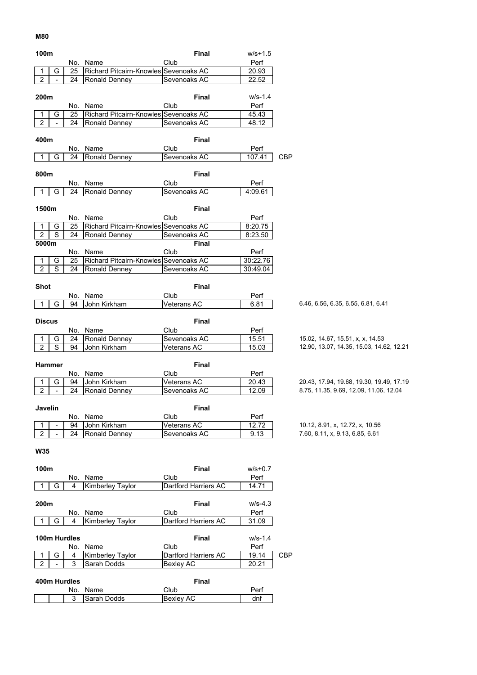#### **M80**

| 100m                |                          |              |                                       | Final                | $w/s + 1.5$ |            |                                          |
|---------------------|--------------------------|--------------|---------------------------------------|----------------------|-------------|------------|------------------------------------------|
|                     |                          |              | No. Name                              | Club                 | Perf        |            |                                          |
| 1                   | G                        | 25           | Richard Pitcairn-Knowles Sevenoaks AC |                      | 20.93       |            |                                          |
| $\overline{2}$      |                          | 24           | <b>Ronald Denney</b>                  | Sevenoaks AC         | 22.52       |            |                                          |
|                     |                          |              |                                       |                      |             |            |                                          |
| 200m                |                          |              |                                       | <b>Final</b>         | w/s-1.4     |            |                                          |
|                     |                          |              | No. Name                              | Club                 | Perf        |            |                                          |
| 1                   | G                        | 25           | Richard Pitcairn-Knowles Sevenoaks AC |                      | 45.43       |            |                                          |
| $\overline{2}$      |                          | 24           | Ronald Denney                         | Sevenoaks AC         | 48.12       |            |                                          |
|                     |                          |              |                                       |                      |             |            |                                          |
| 400m                |                          |              |                                       | <b>Final</b>         |             |            |                                          |
|                     |                          |              | No. Name                              | Club                 | Perf        |            |                                          |
| 1                   | G                        | 24           | Ronald Denney                         | Sevenoaks AC         | 107.41      | <b>CBP</b> |                                          |
|                     |                          |              |                                       |                      |             |            |                                          |
| 800m                |                          |              |                                       | <b>Final</b>         |             |            |                                          |
|                     |                          |              | Name                                  | Club                 | Perf        |            |                                          |
| 1                   | G                        | No.<br>24    | Ronald Denney                         | Sevenoaks AC         |             |            |                                          |
|                     |                          |              |                                       |                      | 4:09.61     |            |                                          |
|                     |                          |              |                                       |                      |             |            |                                          |
| 1500m               |                          |              |                                       | <b>Final</b>         |             |            |                                          |
|                     |                          | No.          | Name                                  | Club                 | Perf        |            |                                          |
| 1                   | G                        | 25           | Richard Pitcairn-Knowles Sevenoaks AC |                      | 8:20.75     |            |                                          |
| $\sqrt{2}$          | S                        | 24           | Ronald Denney                         | Sevenoaks AC         | 8:23.50     |            |                                          |
| 5000m               |                          |              |                                       | <b>Final</b>         |             |            |                                          |
|                     |                          | No.          | Name                                  | Club                 | Perf        |            |                                          |
| 1                   | G                        | 25           | Richard Pitcairn-Knowles Sevenoaks AC |                      | 30:22.76    |            |                                          |
| $\overline{2}$      | S                        | 24           | Ronald Denney                         | Sevenoaks AC         | 30:49.04    |            |                                          |
|                     |                          |              |                                       |                      |             |            |                                          |
| <b>Shot</b>         |                          |              |                                       | <b>Final</b>         |             |            |                                          |
|                     |                          | No.          | Name                                  | Club                 | Perf        |            |                                          |
| 1                   | G                        | 94           | John Kirkham                          | Veterans AC          | 6.81        |            | 6.46, 6.56, 6.35, 6.55, 6.81, 6.41       |
|                     |                          |              |                                       |                      |             |            |                                          |
| <b>Discus</b>       |                          |              |                                       | <b>Final</b>         |             |            |                                          |
|                     |                          |              | No. Name                              | Club                 | Perf        |            |                                          |
| 1                   | G                        | 24           | <b>Ronald Denney</b>                  | Sevenoaks AC         | 15.51       |            | 15.02, 14.67, 15.51, x, x, 14.53         |
| $\overline{2}$      | S                        | 94           | John Kirkham                          | Veterans AC          | 15.03       |            | 12.90, 13.07, 14.35, 15.03, 14.62, 12.21 |
|                     |                          |              |                                       |                      |             |            |                                          |
|                     | <b>Hammer</b>            |              |                                       | <b>Final</b>         |             |            |                                          |
|                     |                          |              |                                       | Club                 |             |            |                                          |
|                     |                          | No.          | Name                                  |                      | Perf        |            | 20.43, 17.94, 19.68, 19.30, 19.49, 17.19 |
| 1<br>$\overline{2}$ | G<br>$\bar{\phantom{a}}$ | 94<br>24     | John Kirkham                          | Veterans AC          | 20.43       |            | 8.75, 11.35, 9.69, 12.09, 11.06, 12.04   |
|                     |                          |              | Ronald Denney                         | Sevenoaks AC         | 12.09       |            |                                          |
|                     |                          |              |                                       |                      |             |            |                                          |
| Javelin             |                          |              |                                       | <b>Final</b>         |             |            |                                          |
|                     |                          | No.          | Name                                  | Club                 | Perf        |            |                                          |
| 1                   |                          | 94           | John Kirkham                          | Veterans AC          | 12.72       |            | 10.12, 8.91, x, 12.72, x, 10.56          |
| $\overline{2}$      | $\mathbf{L}$             | 24           | Ronald Denney                         | Sevenoaks AC         | 9.13        |            | 7.60, 8.11, x, 9.13, 6.85, 6.61          |
|                     |                          |              |                                       |                      |             |            |                                          |
| <b>W35</b>          |                          |              |                                       |                      |             |            |                                          |
|                     |                          |              |                                       |                      |             |            |                                          |
| 100m                |                          |              |                                       | <b>Final</b>         | $w/s + 0.7$ |            |                                          |
|                     |                          | No.          | Name                                  | Club                 | Perf        |            |                                          |
| 1                   | G                        | 4            | Kimberley Taylor                      | Dartford Harriers AC | 14.71       |            |                                          |
|                     |                          |              |                                       |                      |             |            |                                          |
| 200m                |                          |              |                                       | <b>Final</b>         | $W/S-4.3$   |            |                                          |
|                     |                          |              | No. Name                              | Club                 | Perf        |            |                                          |
| 1                   | G                        | 4            | Kimberley Taylor                      | Dartford Harriers AC | 31.09       |            |                                          |
|                     |                          |              |                                       |                      |             |            |                                          |
|                     |                          | 100m Hurdles |                                       | <b>Final</b>         | $W/S-1.4$   |            |                                          |
|                     |                          | No.          | Name                                  | Club                 | Perf        |            |                                          |
| 1                   | G                        | 4            | Kimberley Taylor                      | Dartford Harriers AC | 19.14       | <b>CBP</b> |                                          |
| $\overline{c}$      | $\Box$                   | 3            | Sarah Dodds                           | Bexley AC            | 20.21       |            |                                          |
|                     |                          |              |                                       |                      |             |            |                                          |
|                     |                          | 400m Hurdles |                                       | <b>Final</b>         |             |            |                                          |
|                     |                          |              |                                       |                      |             |            |                                          |
|                     |                          | No.          | Name                                  | Club                 | Perf        |            |                                          |
|                     |                          | 3            | Sarah Dodds                           | Bexley AC            | dnf         |            |                                          |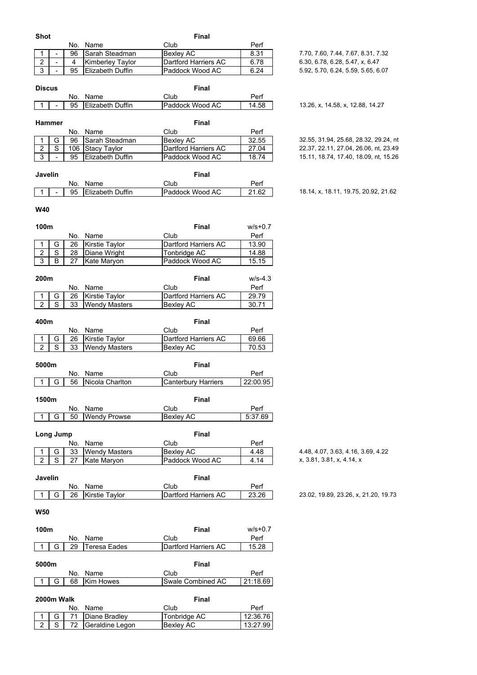| <b>Shot</b>                        |           |                       | <b>Final</b>               |             |                                       |
|------------------------------------|-----------|-----------------------|----------------------------|-------------|---------------------------------------|
|                                    | No.       | Name                  | Club                       | Perf        |                                       |
| 1<br>$\qquad \qquad \blacksquare$  | 96        | Sarah Steadman        | <b>Bexley AC</b>           | 8.31        | 7.70, 7.60, 7.44, 7.67, 8.31, 7.32    |
| $rac{2}{3}$<br>$\Box$              | 4         | Kimberley Taylor      | Dartford Harriers AC       | 6.78        | 6.30, 6.78, 6.28, 5.47, x, 6.47       |
| ÷,                                 | 95        | Elizabeth Duffin      | Paddock Wood AC            | 6.24        | 5.92, 5.70, 6.24, 5.59, 5.65, 6.07    |
|                                    |           |                       |                            |             |                                       |
| <b>Discus</b>                      |           |                       | <b>Final</b>               |             |                                       |
|                                    | No.       | Name                  | Club                       | Perf        |                                       |
| 1                                  | 95        | Elizabeth Duffin      | Paddock Wood AC            | 14.58       | 13.26, x, 14.58, x, 12.88, 14.27      |
|                                    |           |                       |                            |             |                                       |
| <b>Hammer</b>                      |           |                       | <b>Final</b>               |             |                                       |
|                                    | No.       | Name                  | Club                       | Perf        |                                       |
| G<br>1                             | 96        | Sarah Steadman        | <b>Bexley AC</b>           | 32.55       | 32.55, 31.94, 25.68, 28.32, 29.24, nt |
| $\overline{s}$<br>$\overline{2}$   | 106       | <b>Stacy Taylor</b>   | Dartford Harriers AC       | 27.04       | 22.37, 22.11, 27.04, 26.06, nt, 23.49 |
| $\overline{3}$<br>$\blacksquare$   | 95        | Elizabeth Duffin      | Paddock Wood AC            | 18.74       | 15.11, 18.74, 17.40, 18.09, nt, 15.26 |
|                                    |           |                       |                            |             |                                       |
| Javelin                            |           |                       | <b>Final</b>               |             |                                       |
|                                    | No.       | Name                  | Club                       | Perf        |                                       |
| 1<br>$\overline{\phantom{a}}$      | 95        | Elizabeth Duffin      | Paddock Wood AC            | 21.62       | 18.14, x, 18.11, 19.75, 20.92, 21.62  |
|                                    |           |                       |                            |             |                                       |
| <b>W40</b>                         |           |                       |                            |             |                                       |
|                                    |           |                       |                            |             |                                       |
| 100m                               |           |                       | <b>Final</b>               | $w/s + 0.7$ |                                       |
|                                    | No.       | Name                  | Club                       | Perf        |                                       |
| $\mathbf 1$<br>G                   | 26        | <b>Kirstie Taylor</b> | Dartford Harriers AC       | 13.90       |                                       |
| $\overline{S}$<br>$\boldsymbol{2}$ | 28        | Diane Wright          | Tonbridge AC               | 14.88       |                                       |
| $\overline{3}$<br>B                | 27        | Kate Maryon           | Paddock Wood AC            | 15.15       |                                       |
|                                    |           |                       |                            |             |                                       |
| 200m                               |           |                       | <b>Final</b>               | $W/S-4.3$   |                                       |
|                                    | No.       | Name                  | Club                       | Perf        |                                       |
| G<br>1                             | 26        | Kirstie Taylor        | Dartford Harriers AC       | 29.79       |                                       |
| $\overline{2}$<br>S                | 33        | <b>Wendy Masters</b>  | <b>Bexley AC</b>           | 30.71       |                                       |
|                                    |           |                       |                            |             |                                       |
| 400m                               |           |                       | <b>Final</b>               |             |                                       |
|                                    |           | No. Name              | Club                       | Perf        |                                       |
| G<br>1                             | 26        | Kirstie Taylor        | Dartford Harriers AC       | 69.66       |                                       |
| $\overline{2}$<br>S                | 33        | <b>Wendy Masters</b>  | <b>Bexley AC</b>           | 70.53       |                                       |
|                                    |           |                       |                            |             |                                       |
| 5000m                              |           |                       | <b>Final</b>               |             |                                       |
|                                    |           | No. Name              | Club                       | Perf        |                                       |
| G<br>1                             | 56        | Nicola Charlton       | <b>Canterbury Harriers</b> | 22:00.95    |                                       |
|                                    |           |                       |                            |             |                                       |
| 1500m                              |           |                       | Final                      |             |                                       |
|                                    |           |                       |                            |             |                                       |
|                                    | No.<br>50 | Name                  | Club                       |             |                                       |
| G<br>1                             |           |                       |                            | Perf        |                                       |
|                                    |           | <b>Wendy Prowse</b>   | Bexley AC                  | 5:37.69     |                                       |
|                                    |           |                       |                            |             |                                       |
| Long Jump                          |           |                       | <b>Final</b>               |             |                                       |
|                                    | No.       | Name                  | Club                       | Perf        |                                       |
| G                                  | 33        | <b>Wendy Masters</b>  | <b>Bexley AC</b>           | 4.48        | 4.48, 4.07, 3.63, 4.16, 3.69, 4.22    |
| $\mathbf S$<br>$\overline{2}$      | 27        | Kate Maryon           | Paddock Wood AC            | 4.14        | x, 3.81, 3.81, x, 4.14, x             |
|                                    |           |                       |                            |             |                                       |
| Javelin                            |           |                       | <b>Final</b>               |             |                                       |
|                                    | No.       | Name                  | Club                       | Perf        |                                       |
| G<br>1                             | 26        | Kirstie Taylor        | Dartford Harriers AC       | 23.26       | 23.02, 19.89, 23.26, x, 21.20, 19.73  |
|                                    |           |                       |                            |             |                                       |
| <b>W50</b>                         |           |                       |                            |             |                                       |
|                                    |           |                       |                            |             |                                       |
| 100m                               |           |                       | <b>Final</b>               | $w/s + 0.7$ |                                       |
|                                    | No.       | Name                  | Club                       | Perf        |                                       |
| G<br>-1                            | 29        | <b>Teresa Eades</b>   | Dartford Harriers AC       | 15.28       |                                       |
|                                    |           |                       |                            |             |                                       |
| 5000m                              |           |                       | Final                      |             |                                       |
|                                    | No.       | Name                  | Club                       | Perf        |                                       |
| 1                                  | 68        |                       |                            |             |                                       |
| G                                  |           | Kim Howes             | Swale Combined AC          | 21:18.69    |                                       |
| 2000m Walk                         |           |                       | <b>Final</b>               |             |                                       |

1 | G | 71 | Diane Bradley | Tonbridge AC | 12:36.76 2 | S | 72 | Geraldine Legon | Bexley AC | 13:27.99

### 23.02, 19.89, 23.26, x, 21.20, 19.73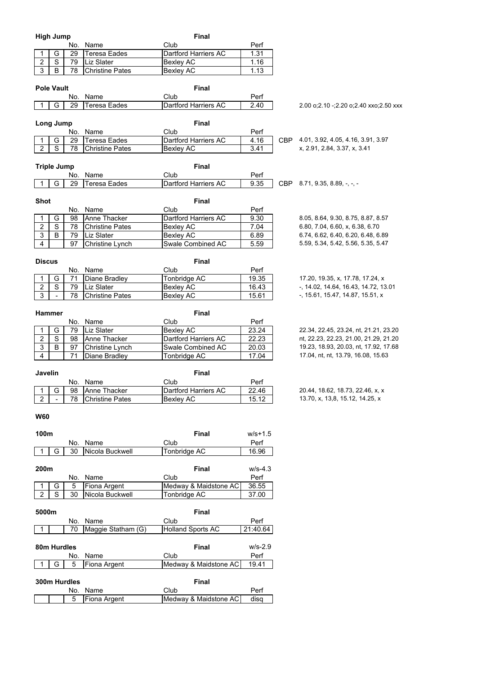|                  | <b>High Jump</b>        |     |                        | Final                 |             |                                            |
|------------------|-------------------------|-----|------------------------|-----------------------|-------------|--------------------------------------------|
|                  |                         | No. | Name                   | Club                  | Perf        |                                            |
| 1                | G                       | 29  | Teresa Eades           | Dartford Harriers AC  | 1.31        |                                            |
| $\overline{2}$   | S                       | 79  | Liz Slater             | <b>Bexley AC</b>      | 1.16        |                                            |
| $\overline{3}$   | B                       | 78  | <b>Christine Pates</b> | Bexley AC             | 1.13        |                                            |
|                  |                         |     |                        |                       |             |                                            |
|                  | <b>Pole Vault</b>       |     |                        | Final                 |             |                                            |
|                  |                         | No. | Name                   | Club                  | Perf        |                                            |
| 1                | G                       | 29  | <b>Teresa Eades</b>    | Dartford Harriers AC  | 2.40        | 2.00 o; 2.10 -; 2.20 o; 2.40 xxo; 2.50 xxx |
|                  |                         |     |                        |                       |             |                                            |
|                  | Long Jump               |     |                        | Final                 |             |                                            |
|                  |                         | No. | Name                   | Club                  | Perf        |                                            |
| 1                | G                       | 29  | <b>Teresa Eades</b>    | Dartford Harriers AC  | 4.16        | CBP 4.01, 3.92, 4.05, 4.16, 3.91, 3.97     |
| $\overline{2}$   | $\overline{\mathsf{s}}$ | 78  | <b>Christine Pates</b> | <b>Bexley AC</b>      | 3.41        | x, 2.91, 2.84, 3.37, x, 3.41               |
|                  |                         |     |                        |                       |             |                                            |
|                  | <b>Triple Jump</b>      |     |                        | Final                 |             |                                            |
|                  |                         |     |                        |                       |             |                                            |
|                  |                         | No. | Name                   | Club                  | Perf        |                                            |
| 1                | G                       | 29  | <b>Teresa Eades</b>    | Dartford Harriers AC  | 9.35        | CBP $8.71, 9.35, 8.89, -,-$                |
|                  |                         |     |                        |                       |             |                                            |
| <b>Shot</b>      |                         |     |                        | Final                 |             |                                            |
|                  |                         | No. | Name                   | Club                  | Perf        |                                            |
| 1                | G                       | 98  | Anne Thacker           | Dartford Harriers AC  | 9.30        | 8.05, 8.64, 9.30, 8.75, 8.87, 8.57         |
| $\overline{2}$   | $\overline{s}$          | 78  | <b>Christine Pates</b> | <b>Bexley AC</b>      | 7.04        | 6.80, 7.04, 6.60, x, 6.38, 6.70            |
| $\overline{3}$   | B                       | 79  | <b>Liz Slater</b>      | <b>Bexley AC</b>      | 6.89        | 6.74, 6.62, 6.40, 6.20, 6.48, 6.89         |
| $\overline{4}$   |                         | 97  | Christine Lynch        | Swale Combined AC     | 5.59        | 5.59, 5.34, 5.42, 5.56, 5.35, 5.47         |
|                  |                         |     |                        |                       |             |                                            |
|                  | <b>Discus</b>           |     |                        | <b>Final</b>          |             |                                            |
|                  |                         | No. | Name                   | Club                  | Perf        |                                            |
| 1                | G                       | 71  | Diane Bradley          | <b>Tonbridge AC</b>   | 19.35       | 17.20, 19.35, x, 17.78, 17.24, x           |
| $\overline{2}$   | $\overline{s}$          | 79  | Liz Slater             | <b>Bexley AC</b>      | 16.43       | -, 14.02, 14.64, 16.43, 14.72, 13.01       |
| $\overline{3}$   | $\blacksquare$          | 78  | <b>Christine Pates</b> | Bexley AC             | 15.61       | -, 15.61, 15.47, 14.87, 15.51, x           |
|                  |                         |     |                        |                       |             |                                            |
|                  | Hammer                  |     |                        | Final                 |             |                                            |
|                  |                         | No. | Name                   | Club                  | Perf        |                                            |
| 1                | G                       | 79  | Liz Slater             | <b>Bexley AC</b>      | 23.24       | 22.34, 22.45, 23.24, nt, 21.21, 23.20      |
| $\boldsymbol{2}$ | $\mathbf S$             | 98  | Anne Thacker           | Dartford Harriers AC  | 22.23       | nt, 22.23, 22.23, 21.00, 21.29, 21.20      |
| $\overline{3}$   | B                       | 97  | Christine Lynch        | Swale Combined AC     | 20.03       | 19.23, 18.93, 20.03, nt, 17.92, 17.68      |
| $\overline{4}$   |                         | 71  | Diane Bradley          | Tonbridge AC          | 17.04       | 17.04, nt, nt, 13.79, 16.08, 15.63         |
|                  |                         |     |                        |                       |             |                                            |
|                  |                         |     |                        | <b>Final</b>          |             |                                            |
|                  | Javelin                 |     |                        |                       |             |                                            |
|                  |                         |     | No. Name               | Club                  | Perf        |                                            |
| $\mathbf{1}$     | G                       | 98  | Anne Thacker           | Dartford Harriers AC  | 22.46       | 20.44, 18.62, 18.73, 22.46, x, x           |
| 2                |                         | 78  | <b>Christine Pates</b> | <b>Bexley AC</b>      | 15.12       | 13.70, x, 13,8, 15.12, 14.25, x            |
|                  |                         |     |                        |                       |             |                                            |
| <b>W60</b>       |                         |     |                        |                       |             |                                            |
|                  |                         |     |                        |                       |             |                                            |
| 100m             |                         |     |                        | <b>Final</b>          | $w/s + 1.5$ |                                            |
|                  |                         |     | No. Name               | Club                  | Perf        |                                            |
| 1                | G                       | 30  | Nicola Buckwell        | Tonbridge AC          | 16.96       |                                            |
|                  |                         |     |                        |                       |             |                                            |
| 200m             |                         |     |                        | Final                 | w/s-4.3     |                                            |
|                  |                         | No. | Name                   | Club                  | Perf        |                                            |
| 1                | G                       | 5   | Fiona Argent           | Medway & Maidstone AC | 36.55       |                                            |
| $\overline{2}$   | S                       | 30  | Nicola Buckwell        | Tonbridge AC          | 37.00       |                                            |
|                  |                         |     |                        |                       |             |                                            |
|                  | 5000m                   |     |                        | Final                 |             |                                            |
|                  |                         | No. | Name                   | Club                  | Perf        |                                            |
| $\mathbf{1}$     |                         | 70  | Maggie Statham (G)     | Holland Sports AC     | 21:40.64    |                                            |
|                  |                         |     |                        |                       |             |                                            |
|                  | 80m Hurdles             |     |                        | Final                 | $W/S-2.9$   |                                            |
|                  |                         |     |                        | Club                  |             |                                            |
|                  |                         | No. | Name                   |                       | Perf        |                                            |
| 1                | G                       | 5   | Fiona Argent           | Medway & Maidstone AC | 19.41       |                                            |
|                  |                         |     |                        |                       |             |                                            |

**300m Hurdles Final**<br> **Final Report Report Final Property Club** 

No. Name Club Perf<br>
5 | Fiona Argent Medway & Maidstone AC | disq

Medway & Maidstone AC